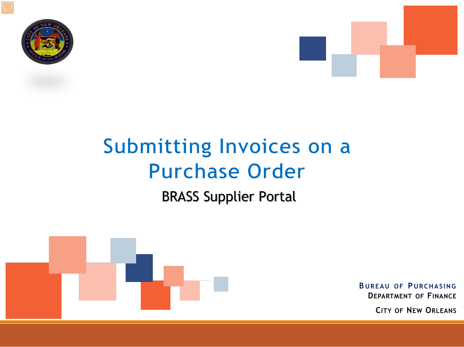



# Submitting Invoices on a **Purchase Order**

# BRASS Supplier Portal



**B UREAU O F P URCHASING DEPARTMENT OF FINANCE**

**CITY OF NEW ORLEANS**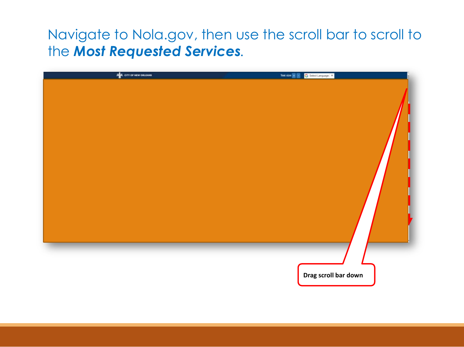Navigate to Nola.gov, then use the scroll bar to scroll to the *Most Requested Services.*

| <b>SAR CITY OF NEW ORLEANS</b> | Text size $\left  \frac{1}{2} \right  =$<br>G Select Language   W |
|--------------------------------|-------------------------------------------------------------------|
|                                |                                                                   |
|                                |                                                                   |
|                                |                                                                   |
|                                |                                                                   |
|                                |                                                                   |
|                                |                                                                   |
|                                |                                                                   |
|                                |                                                                   |
|                                |                                                                   |
|                                |                                                                   |
|                                |                                                                   |
|                                |                                                                   |
|                                |                                                                   |
|                                |                                                                   |
|                                |                                                                   |
|                                |                                                                   |
|                                |                                                                   |
|                                |                                                                   |
|                                |                                                                   |
|                                |                                                                   |
|                                |                                                                   |
|                                |                                                                   |
|                                |                                                                   |
|                                |                                                                   |
|                                |                                                                   |
|                                | Drag scroll bar down                                              |
|                                |                                                                   |
|                                |                                                                   |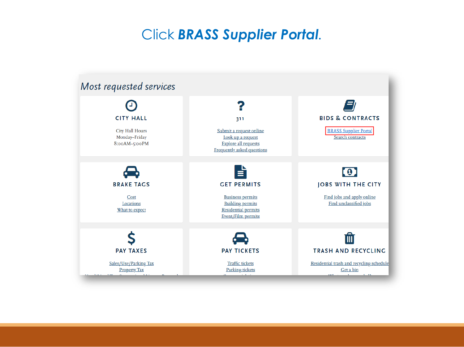# Click *BRASS Supplier Portal.*

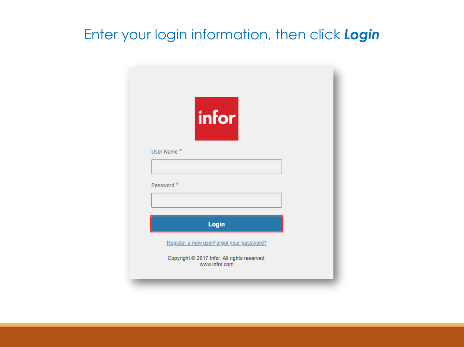# Enter your login information, then click *Login*

| infor                                                         |  |
|---------------------------------------------------------------|--|
| User Name <sup>*</sup>                                        |  |
|                                                               |  |
| Password <sup>*</sup>                                         |  |
| Login                                                         |  |
| Register a new userForgot your password?                      |  |
| Copyright @ 2017 Infor. All rights reserved.<br>www.infor.com |  |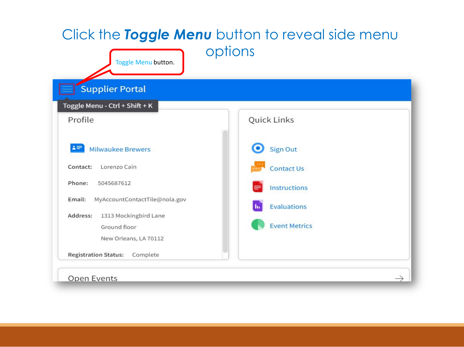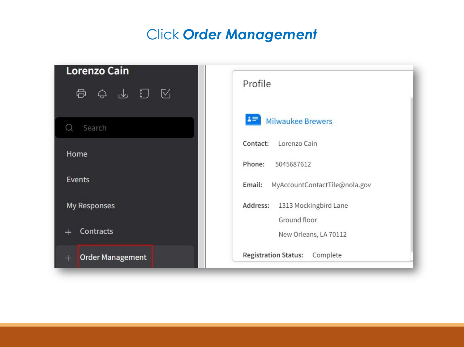# Click *Order Management*

| Lorenzo Cain<br>$\Leftrightarrow$ $\Leftrightarrow$ $\Box$ $\boxtimes$<br>邑 | Profile                                                         |
|-----------------------------------------------------------------------------|-----------------------------------------------------------------|
| Search<br>Ω                                                                 | 17<br><b>Milwaukee Brewers</b>                                  |
| Home                                                                        | Lorenzo Cain<br>Contact:                                        |
| <b>Events</b>                                                               | Phone:<br>5045687612<br>Email:<br>MyAccountContactTile@nola.gov |
| My Responses                                                                | Address:<br>1313 Mockingbird Lane                               |
| Contracts<br>÷                                                              | Ground floor<br>New Orleans, LA 70112                           |
| <b>Order Management</b><br>$^{+}$                                           | <b>Registration Status:</b><br>Complete                         |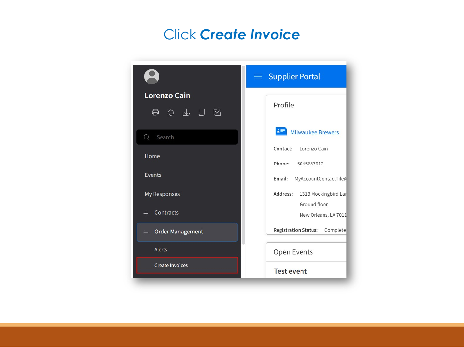#### Click *Create Invoice*

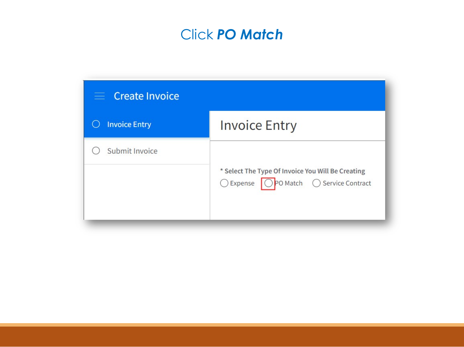# Click *PO Match*

| $\equiv$ Create Invoice |                                                                                              |
|-------------------------|----------------------------------------------------------------------------------------------|
| <b>Invoice Entry</b>    | <b>Invoice Entry</b>                                                                         |
| Submit Invoice          | * Select The Type Of Invoice You Will Be Creating<br>○ Expense ○ PO Match ○ Service Contract |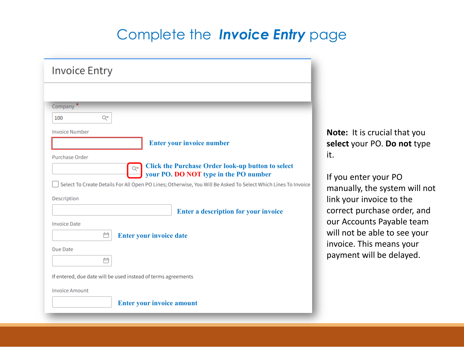#### Complete the *Invoice Entry* page

| <b>Invoice Entry</b>                                                                                          |
|---------------------------------------------------------------------------------------------------------------|
|                                                                                                               |
| Company <sup>*</sup>                                                                                          |
| Q=<br>100                                                                                                     |
| <b>Invoice Number</b>                                                                                         |
| <b>Enter your invoice number</b>                                                                              |
| <b>Purchase Order</b>                                                                                         |
| <b>Click the Purchase Order look-up button to select</b><br>Q=<br>your PO. DO NOT type in the PO number       |
| Select To Create Details For All Open PO Lines; Otherwise, You Will Be Asked To Select Which Lines To Invoice |
| Description                                                                                                   |
|                                                                                                               |
| <b>Enter a description for your invoice</b>                                                                   |
| <b>Invoice Date</b>                                                                                           |
| Ӫ<br><b>Enter your invoice date</b>                                                                           |
| Due Date                                                                                                      |
| Ħ                                                                                                             |
|                                                                                                               |
| If entered, due date will be used instead of terms agreements                                                 |
| <b>Invoice Amount</b>                                                                                         |
| <b>Enter your invoice amount</b>                                                                              |

**Note:** It is crucial that you **select** your PO. **Do not** type it.

If you enter your PO manually, the system will not link your invoice to the correct purchase order, and our Accounts Payable team will not be able to see your invoice. This means your payment will be delayed.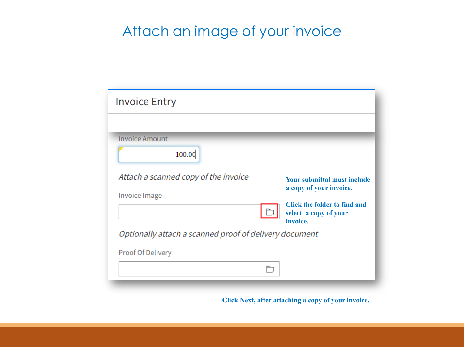# Attach an image of your invoice

| <b>Invoice Entry</b>                                                                     |                                                                                                                                           |
|------------------------------------------------------------------------------------------|-------------------------------------------------------------------------------------------------------------------------------------------|
| <b>Invoice Amount</b><br>100.00<br>Attach a scanned copy of the invoice<br>Invoice Image | <b>Your submittal must include</b><br>a copy of your invoice.<br><b>Click the folder to find and</b><br>select a copy of your<br>invoice. |
| Optionally attach a scanned proof of delivery document<br>Proof Of Delivery              |                                                                                                                                           |

**Click Next, after attaching a copy of your invoice.**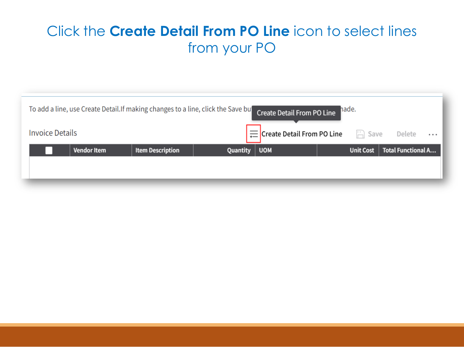#### Click the **Create Detail From PO Line** icon to select lines from your PO

| To add a line, use Create Detail.If making changes to a line, click the Save bunder Create Detail From PO Line<br>hade. |                    |                         |          |                                     |  |                  |                           |          |
|-------------------------------------------------------------------------------------------------------------------------|--------------------|-------------------------|----------|-------------------------------------|--|------------------|---------------------------|----------|
| <b>Invoice Details</b>                                                                                                  |                    |                         |          | $\equiv$ Create Detail From PO Line |  | $\Box$ Save      | Delete                    | $\cdots$ |
|                                                                                                                         | <b>Vendor Item</b> | <b>Item Description</b> | Quantity | <b>UOM</b>                          |  | <b>Unit Cost</b> | <b>Total Functional A</b> |          |
|                                                                                                                         |                    |                         |          |                                     |  |                  |                           |          |
|                                                                                                                         |                    |                         |          |                                     |  |                  |                           |          |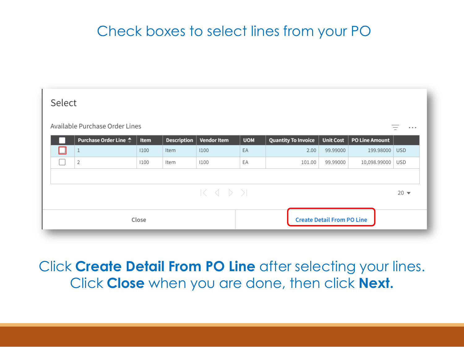#### Check boxes to select lines from your PO

| Select |                                            |      |                    |                                |            |                            |                  |                       |            |
|--------|--------------------------------------------|------|--------------------|--------------------------------|------------|----------------------------|------------------|-----------------------|------------|
|        | Available Purchase Order Lines             |      |                    |                                |            |                            |                  |                       | $\cdots$   |
|        | Purchase Order Line <sup>4</sup>           | Item | <b>Description</b> | <b>Vendor Item</b>             | <b>UOM</b> | <b>Quantity To Invoice</b> | <b>Unit Cost</b> | <b>PO Line Amount</b> |            |
|        |                                            | 1100 | Item               | 1100                           | EA         | 2.00                       | 99.99000         | 199.98000             | <b>USD</b> |
|        | 2                                          | 1100 | Item               | 1100                           | EA         | 101.00                     | 99.99000         | 10,098.99000          | USD        |
|        |                                            |      |                    |                                |            |                            |                  |                       |            |
|        |                                            |      |                    | $K \leftarrow A \rightarrow M$ |            |                            |                  |                       | $20 -$     |
|        |                                            |      |                    |                                |            |                            |                  |                       |            |
|        | Close<br><b>Create Detail From PO Line</b> |      |                    |                                |            |                            |                  |                       |            |

Click **Create Detail From PO Line** after selecting your lines. Click **Close** when you are done, then click **Next.**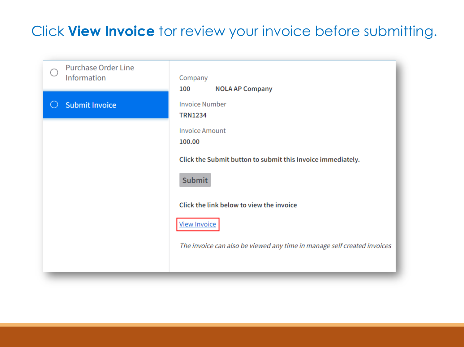# Click **View Invoice** tor review your invoice before submitting.

| <b>Purchase Order Line</b><br>Information | Company<br>100<br><b>NOLA AP Company</b>                                                                                                                    |
|-------------------------------------------|-------------------------------------------------------------------------------------------------------------------------------------------------------------|
| <b>Submit Invoice</b>                     | <b>Invoice Number</b><br><b>TRN1234</b><br><b>Invoice Amount</b><br>100.00<br>Click the Submit button to submit this Invoice immediately.                   |
|                                           | <b>Submit</b><br>Click the link below to view the invoice<br><b>View Invoice</b><br>The invoice can also be viewed any time in manage self created invoices |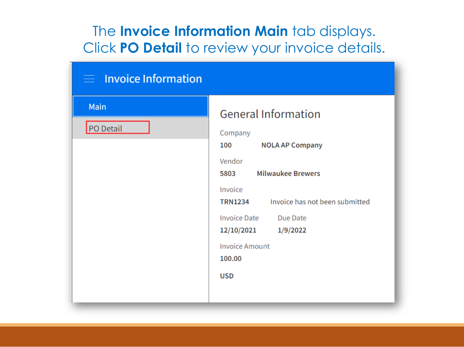#### The **Invoice Information Main** tab displays. Click **PO Detail** to review your invoice details.

| $\equiv$ Invoice Information |                                                                                                                                                                                                                                                                                                   |
|------------------------------|---------------------------------------------------------------------------------------------------------------------------------------------------------------------------------------------------------------------------------------------------------------------------------------------------|
| Main<br>PO Detail            | <b>General Information</b><br>Company<br>100<br><b>NOLA AP Company</b><br>Vendor<br><b>Milwaukee Brewers</b><br>5803<br>Invoice<br>Invoice has not been submitted<br><b>TRN1234</b><br><b>Invoice Date</b><br>Due Date<br>12/10/2021<br>1/9/2022<br><b>Invoice Amount</b><br>100.00<br><b>USD</b> |